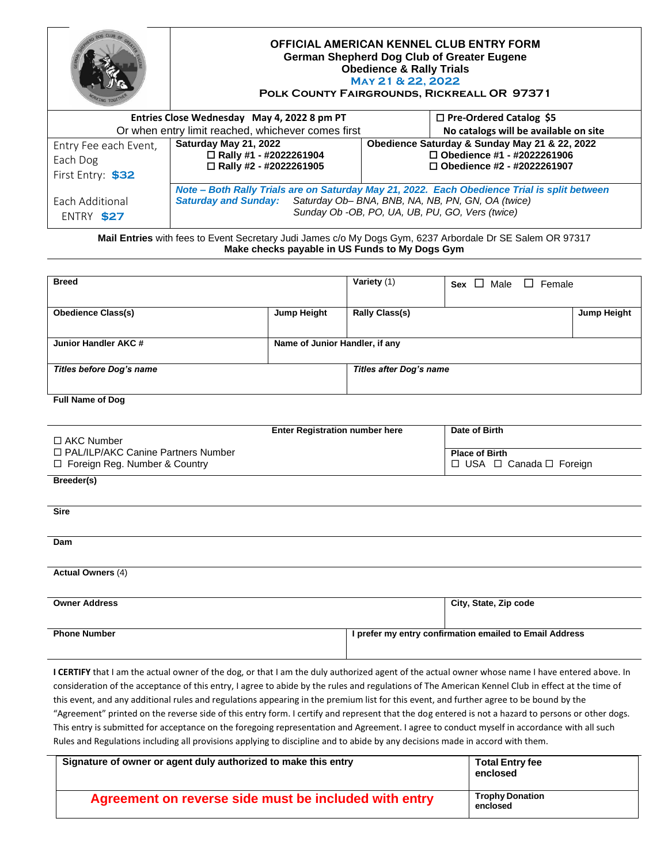|                               | OFFICIAL AMERICAN KENNEL CLUB ENTRY FORM<br><b>German Shepherd Dog Club of Greater Eugene</b><br><b>Obedience &amp; Rally Trials</b><br>MAY 21 & 22, 2022<br>POLK COUNTY FAIRGROUNDS, RICKREALL OR 97371                  |                                                                        |                                               |
|-------------------------------|---------------------------------------------------------------------------------------------------------------------------------------------------------------------------------------------------------------------------|------------------------------------------------------------------------|-----------------------------------------------|
|                               | Entries Close Wednesday May 4, 2022 8 pm PT<br>$\Box$ Pre-Ordered Catalog \$5                                                                                                                                             |                                                                        |                                               |
|                               | Or when entry limit reached, whichever comes first                                                                                                                                                                        |                                                                        | No catalogs will be available on site         |
| Entry Fee each Event,         | Saturday May 21, 2022                                                                                                                                                                                                     |                                                                        | Obedience Saturday & Sunday May 21 & 22, 2022 |
| Each Dog                      | □ Rally #1 - #2022261904<br>□ Rally #2 - #2022261905                                                                                                                                                                      | $\Box$ Obedience #1 - #2022261906<br>$\Box$ Obedience #2 - #2022261907 |                                               |
| First Entry: \$32             |                                                                                                                                                                                                                           |                                                                        |                                               |
| Each Additional<br>ENTRY \$27 | Note - Both Rally Trials are on Saturday May 21, 2022. Each Obedience Trial is split between<br>Saturday and Sunday: Saturday Ob- BNA, BNB, NA, NB, PN, GN, OA (twice)<br>Sunday Ob -OB, PO, UA, UB, PU, GO, Vers (twice) |                                                                        |                                               |

**Mail Entries** with fees to Event Secretary Judi James c/o My Dogs Gym, 6237 Arbordale Dr SE Salem OR 97317 **Make checks payable in US Funds to My Dogs Gym**

| <b>Breed</b>              |                                | Variety (1)                    | Sex $\Box$ Male $\Box$ Female |                    |
|---------------------------|--------------------------------|--------------------------------|-------------------------------|--------------------|
| <b>Obedience Class(s)</b> | <b>Jump Height</b>             | <b>Rally Class(s)</b>          |                               | <b>Jump Height</b> |
| Junior Handler AKC #      | Name of Junior Handler, if any |                                |                               |                    |
| Titles before Dog's name  |                                | <b>Titles after Dog's name</b> |                               |                    |

## **Full Name of Dog**

| □ AKC Number                         | <b>Enter Registration number here</b> | Date of Birth            |
|--------------------------------------|---------------------------------------|--------------------------|
| □ PAL/ILP/AKC Canine Partners Number |                                       | <b>Place of Birth</b>    |
| $\Box$ Foreign Reg. Number & Country |                                       | □ USA □ Canada □ Foreign |

**Breeder(s)**

**Sire**

**Dam**

**Actual Owners** (4)

| <b>Owner Address</b> | City, State, Zip code                                   |
|----------------------|---------------------------------------------------------|
| <b>Phone Number</b>  | I prefer my entry confirmation emailed to Email Address |

I CERTIFY that I am the actual owner of the dog, or that I am the duly authorized agent of the actual owner whose name I have entered above. In consideration of the acceptance of this entry, I agree to abide by the rules and regulations of The American Kennel Club in effect at the time of this event, and any additional rules and regulations appearing in the premium list for this event, and further agree to be bound by the "Agreement" printed on the reverse side of this entry form. I certify and represent that the dog entered is not a hazard to persons or other dogs. This entry is submitted for acceptance on the foregoing representation and Agreement. I agree to conduct myself in accordance with all such Rules and Regulations including all provisions applying to discipline and to abide by any decisions made in accord with them.

| Signature of owner or agent duly authorized to make this entry | <b>Total Entry fee</b><br>enclosed |
|----------------------------------------------------------------|------------------------------------|
| Agreement on reverse side must be included with entry          | <b>Trophy Donation</b><br>enclosed |